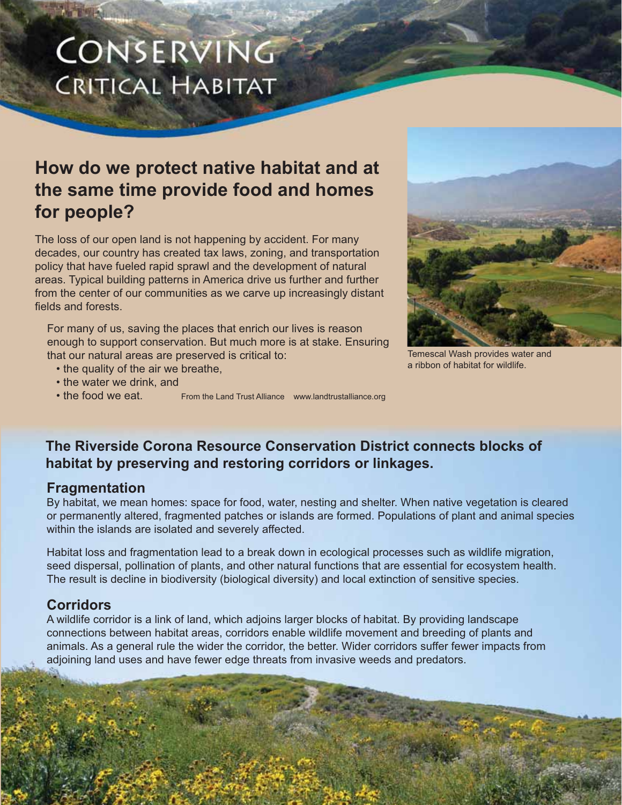# CONSERVING **CRITICAL HABITAT**

# **How do we protect native habitat and at the same time provide food and homes for people?**

The loss of our open land is not happening by accident. For many decades, our country has created tax laws, zoning, and transportation policy that have fueled rapid sprawl and the development of natural areas. Typical building patterns in America drive us further and further from the center of our communities as we carve up increasingly distant fields and forests.

For many of us, saving the places that enrich our lives is reason enough to support conservation. But much more is at stake. Ensuring that our natural areas are preserved is critical to:

- the quality of the air we breathe,
- the water we drink, and
- 
- the food we eat. From the Land Trust Alliance www.landtrustalliance.org



Temescal Wash provides water and a ribbon of habitat for wildlife.

### **The Riverside Corona Resource Conservation District connects blocks of habitat by preserving and restoring corridors or linkages.**

#### **Fragmentation**

By habitat, we mean homes: space for food, water, nesting and shelter. When native vegetation is cleared or permanently altered, fragmented patches or islands are formed. Populations of plant and animal species within the islands are isolated and severely affected.

Habitat loss and fragmentation lead to a break down in ecological processes such as wildlife migration, seed dispersal, pollination of plants, and other natural functions that are essential for ecosystem health. The result is decline in biodiversity (biological diversity) and local extinction of sensitive species.

### **Corridors**

A wildlife corridor is a link of land, which adjoins larger blocks of habitat. By providing landscape connections between habitat areas, corridors enable wildlife movement and breeding of plants and animals. As a general rule the wider the corridor, the better. Wider corridors suffer fewer impacts from adjoining land uses and have fewer edge threats from invasive weeds and predators.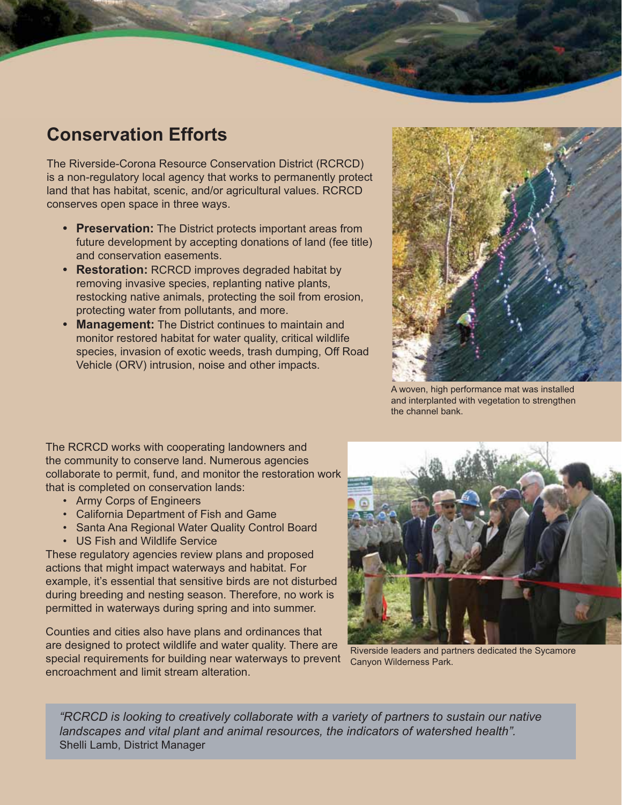# **Conservation Efforts**

The Riverside-Corona Resource Conservation District (RCRCD) is a non-regulatory local agency that works to permanently protect land that has habitat, scenic, and/or agricultural values. RCRCD conserves open space in three ways.

- **Preservation:** The District protects important areas from future development by accepting donations of land (fee title) and conservation easements.
- **Restoration:** RCRCD improves degraded habitat by removing invasive species, replanting native plants, restocking native animals, protecting the soil from erosion, protecting water from pollutants, and more.
- **Management:** The District continues to maintain and monitor restored habitat for water quality, critical wildlife species, invasion of exotic weeds, trash dumping, Off Road Vehicle (ORV) intrusion, noise and other impacts.



A woven, high performance mat was installed and interplanted with vegetation to strengthen the channel bank.

The RCRCD works with cooperating landowners and the community to conserve land. Numerous agencies collaborate to permit, fund, and monitor the restoration work that is completed on conservation lands:

- Army Corps of Engineers
- California Department of Fish and Game
- Santa Ana Regional Water Quality Control Board
- US Fish and Wildlife Service

These regulatory agencies review plans and proposed actions that might impact waterways and habitat. For example, it's essential that sensitive birds are not disturbed during breeding and nesting season. Therefore, no work is permitted in waterways during spring and into summer.

Counties and cities also have plans and ordinances that are designed to protect wildlife and water quality. There are special requirements for building near waterways to prevent encroachment and limit stream alteration.



Riverside leaders and partners dedicated the Sycamore Canyon Wilderness Park.

*"RCRCD is looking to creatively collaborate with a variety of partners to sustain our native landscapes and vital plant and animal resources, the indicators of watershed health".* Shelli Lamb, District Manager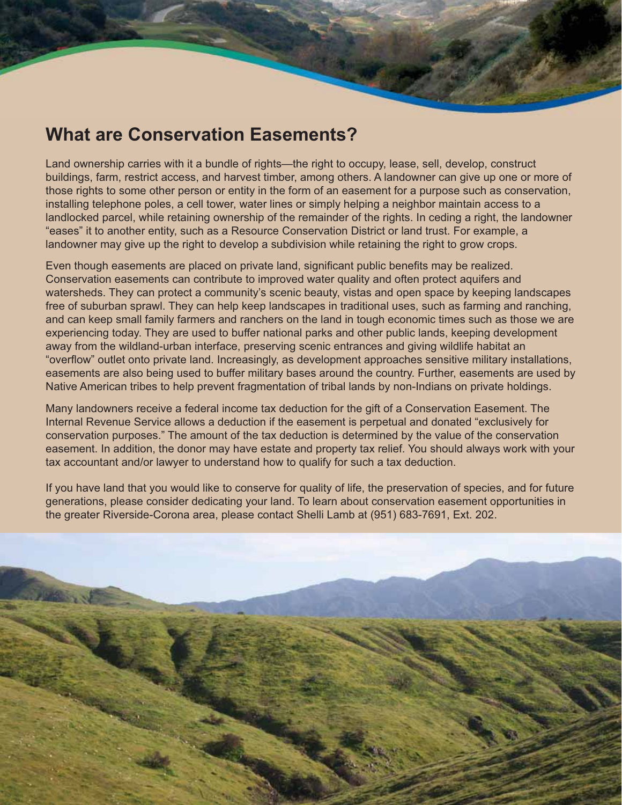# **What are Conservation Easements?**

Land ownership carries with it a bundle of rights—the right to occupy, lease, sell, develop, construct buildings, farm, restrict access, and harvest timber, among others. A landowner can give up one or more of those rights to some other person or entity in the form of an easement for a purpose such as conservation, installing telephone poles, a cell tower, water lines or simply helping a neighbor maintain access to a landlocked parcel, while retaining ownership of the remainder of the rights. In ceding a right, the landowner "eases" it to another entity, such as a Resource Conservation District or land trust. For example, a landowner may give up the right to develop a subdivision while retaining the right to grow crops.

Even though easements are placed on private land, significant public benefits may be realized. Conservation easements can contribute to improved water quality and often protect aquifers and watersheds. They can protect a community's scenic beauty, vistas and open space by keeping landscapes free of suburban sprawl. They can help keep landscapes in traditional uses, such as farming and ranching, and can keep small family farmers and ranchers on the land in tough economic times such as those we are experiencing today. They are used to buffer national parks and other public lands, keeping development away from the wildland-urban interface, preserving scenic entrances and giving wildlife habitat an "overflow" outlet onto private land. Increasingly, as development approaches sensitive military installations, easements are also being used to buffer military bases around the country. Further, easements are used by Native American tribes to help prevent fragmentation of tribal lands by non-Indians on private holdings.

Many landowners receive a federal income tax deduction for the gift of a Conservation Easement. The Internal Revenue Service allows a deduction if the easement is perpetual and donated "exclusively for conservation purposes." The amount of the tax deduction is determined by the value of the conservation easement. In addition, the donor may have estate and property tax relief. You should always work with your tax accountant and/or lawyer to understand how to qualify for such a tax deduction.

If you have land that you would like to conserve for quality of life, the preservation of species, and for future generations, please consider dedicating your land. To learn about conservation easement opportunities in the greater Riverside-Corona area, please contact Shelli Lamb at (951) 683-7691, Ext. 202.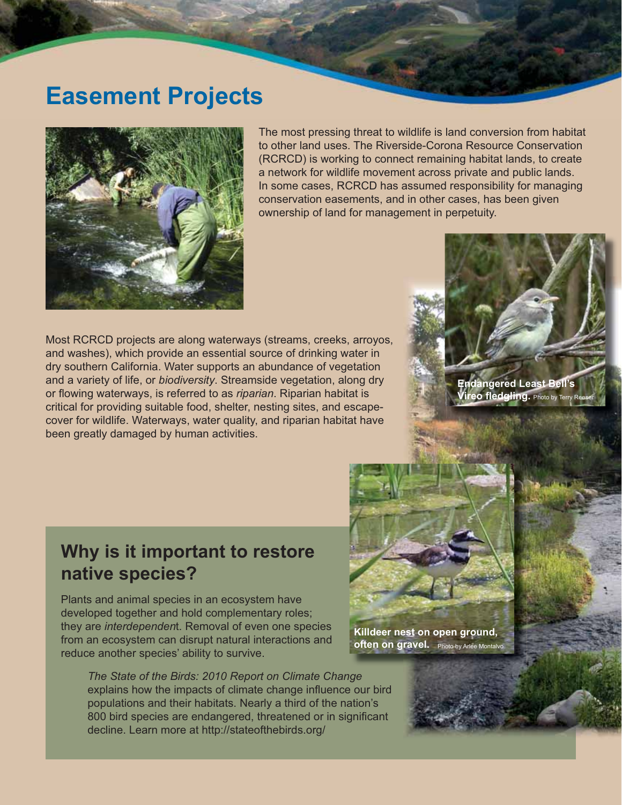# **Easement Projects**



The most pressing threat to wildlife is land conversion from habitat to other land uses. The Riverside-Corona Resource Conservation (RCRCD) is working to connect remaining habitat lands, to create a network for wildlife movement across private and public lands. In some cases, RCRCD has assumed responsibility for managing conservation easements, and in other cases, has been given ownership of land for management in perpetuity.

Most RCRCD projects are along waterways (streams, creeks, arroyos, and washes), which provide an essential source of drinking water in dry southern California. Water supports an abundance of vegetation and a variety of life, or *biodiversity*. Streamside vegetation, along dry or flowing waterways, is referred to as *riparian*. Riparian habitat is critical for providing suitable food, shelter, nesting sites, and escapecover for wildlife. Waterways, water quality, and riparian habitat have been greatly damaged by human activities.

**Endangered Least Bell's Vireo fledgling.** Photo by Terry Reeser

# **Why is it important to restore native species?**

Plants and animal species in an ecosystem have developed together and hold complementary roles; they are *interdependen*t. Removal of even one species from an ecosystem can disrupt natural interactions and reduce another species' ability to survive.

*The State of the Birds: 2010 Report on Climate Change* explains how the impacts of climate change influence our bird populations and their habitats. Nearly a third of the nation's 800 bird species are endangered, threatened or in significant decline. Learn more at http://stateofthebirds.org/

**Killdeer nest on open ground, often on gravel.** Photo by Arlee Montalvo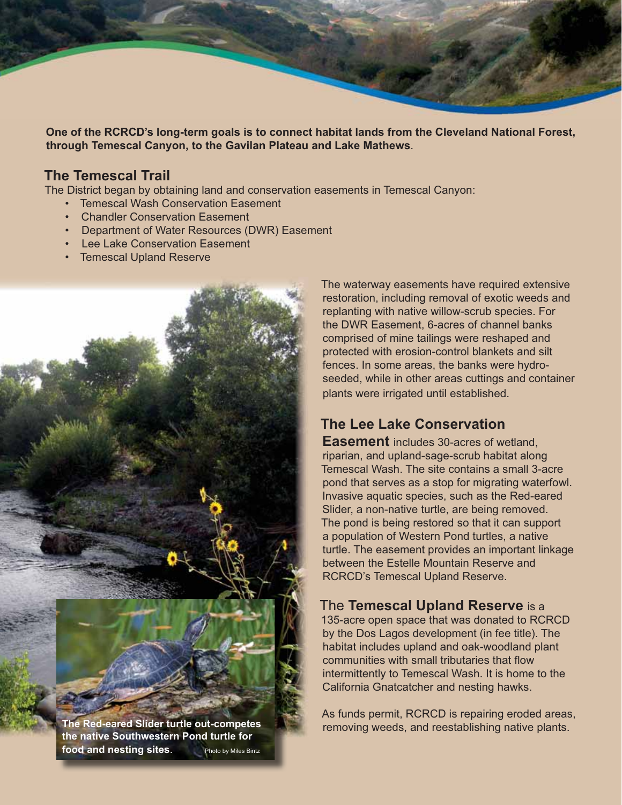**One of the RCRCD's long-term goals is to connect habitat lands from the Cleveland National Forest, through Temescal Canyon, to the Gavilan Plateau and Lake Mathews**.

### **The Temescal Trail**

The District began by obtaining land and conservation easements in Temescal Canyon:

- Temescal Wash Conservation Easement
- Chandler Conservation Easement
- Department of Water Resources (DWR) Easement
- Lee Lake Conservation Easement
- Temescal Upland Reserve

**the native Southwestern Pond turtle for food and nesting sites.** Photo by Miles Bintz The waterway easements have required extensive restoration, including removal of exotic weeds and replanting with native willow-scrub species. For the DWR Easement, 6-acres of channel banks comprised of mine tailings were reshaped and protected with erosion-control blankets and silt fences. In some areas, the banks were hydroseeded, while in other areas cuttings and container plants were irrigated until established.

### **The Lee Lake Conservation**

**Easement** includes 30-acres of wetland, riparian, and upland-sage-scrub habitat along Temescal Wash. The site contains a small 3-acre pond that serves as a stop for migrating waterfowl. Invasive aquatic species, such as the Red-eared Slider, a non-native turtle, are being removed. The pond is being restored so that it can support a population of Western Pond turtles, a native turtle. The easement provides an important linkage between the Estelle Mountain Reserve and RCRCD's Temescal Upland Reserve.

#### The **Temescal Upland Reserve** is a

135-acre open space that was donated to RCRCD by the Dos Lagos development (in fee title). The habitat includes upland and oak-woodland plant communities with small tributaries that flow intermittently to Temescal Wash. It is home to the California Gnatcatcher and nesting hawks.

As funds permit, RCRCD is repairing eroded areas, removing weeds, and reestablishing native plants. **The Red-eared Slider turtle out-competes**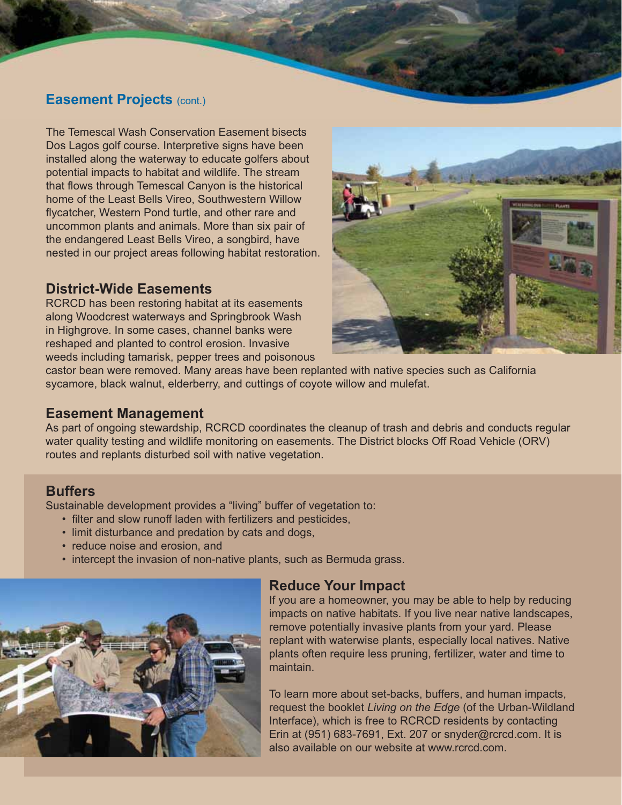### **Easement Projects** (cont.)

The Temescal Wash Conservation Easement bisects Dos Lagos golf course. Interpretive signs have been installed along the waterway to educate golfers about potential impacts to habitat and wildlife. The stream that flows through Temescal Canyon is the historical home of the Least Bells Vireo, Southwestern Willow flycatcher, Western Pond turtle, and other rare and uncommon plants and animals. More than six pair of the endangered Least Bells Vireo, a songbird, have nested in our project areas following habitat restoration.

#### **District-Wide Easements**

RCRCD has been restoring habitat at its easements along Woodcrest waterways and Springbrook Wash in Highgrove. In some cases, channel banks were reshaped and planted to control erosion. Invasive weeds including tamarisk, pepper trees and poisonous



castor bean were removed. Many areas have been replanted with native species such as California sycamore, black walnut, elderberry, and cuttings of coyote willow and mulefat.

#### **Easement Management**

As part of ongoing stewardship, RCRCD coordinates the cleanup of trash and debris and conducts regular water quality testing and wildlife monitoring on easements. The District blocks Off Road Vehicle (ORV) routes and replants disturbed soil with native vegetation.

### **Buffers**

Sustainable development provides a "living" buffer of vegetation to:

- filter and slow runoff laden with fertilizers and pesticides,
- limit disturbance and predation by cats and dogs,
- reduce noise and erosion, and
- intercept the invasion of non-native plants, such as Bermuda grass.



### **Reduce Your Impact**

If you are a homeowner, you may be able to help by reducing impacts on native habitats. If you live near native landscapes, remove potentially invasive plants from your yard. Please replant with waterwise plants, especially local natives. Native plants often require less pruning, fertilizer, water and time to maintain.

To learn more about set-backs, buffers, and human impacts, request the booklet *Living on the Edge* (of the Urban-Wildland Interface), which is free to RCRCD residents by contacting Erin at (951) 683-7691, Ext. 207 or snyder@rcrcd.com. It is also available on our website at www.rcrcd.com.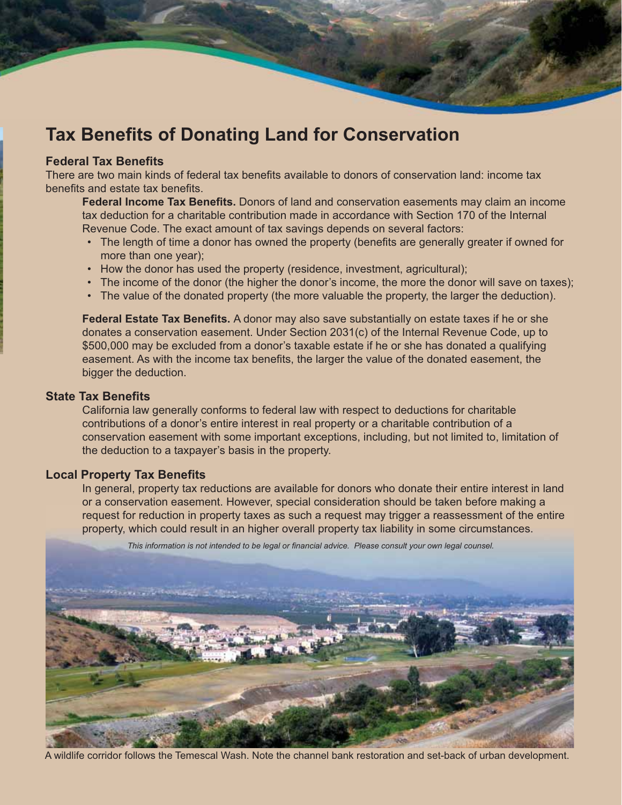# **Tax Benefits of Donating Land for Conservation**

#### **Federal Tax Benefits**

There are two main kinds of federal tax benefits available to donors of conservation land: income tax benefits and estate tax benefits.

**Federal Income Tax Benefits.** Donors of land and conservation easements may claim an income tax deduction for a charitable contribution made in accordance with Section 170 of the Internal Revenue Code. The exact amount of tax savings depends on several factors:

- The length of time a donor has owned the property (benefits are generally greater if owned for more than one year);
- How the donor has used the property (residence, investment, agricultural);
- The income of the donor (the higher the donor's income, the more the donor will save on taxes);
- The value of the donated property (the more valuable the property, the larger the deduction).

Federal Estate Tax Benefits. A donor may also save substantially on estate taxes if he or she donates a conservation easement. Under Section 2031(c) of the Internal Revenue Code, up to \$500,000 may be excluded from a donor's taxable estate if he or she has donated a qualifying easement. As with the income tax benefits, the larger the value of the donated easement, the bigger the deduction.

#### **State Tax Benefits**

 California law generally conforms to federal law with respect to deductions for charitable contributions of a donor's entire interest in real property or a charitable contribution of a conservation easement with some important exceptions, including, but not limited to, limitation of the deduction to a taxpayer's basis in the property.

#### **Local Property Tax Benefits**

 In general, property tax reductions are available for donors who donate their entire interest in land or a conservation easement. However, special consideration should be taken before making a request for reduction in property taxes as such a request may trigger a reassessment of the entire property, which could result in an higher overall property tax liability in some circumstances.



This information is not intended to be legal or financial advice. Please consult your own legal counsel.

A wildlife corridor follows the Temescal Wash. Note the channel bank restoration and set-back of urban development.